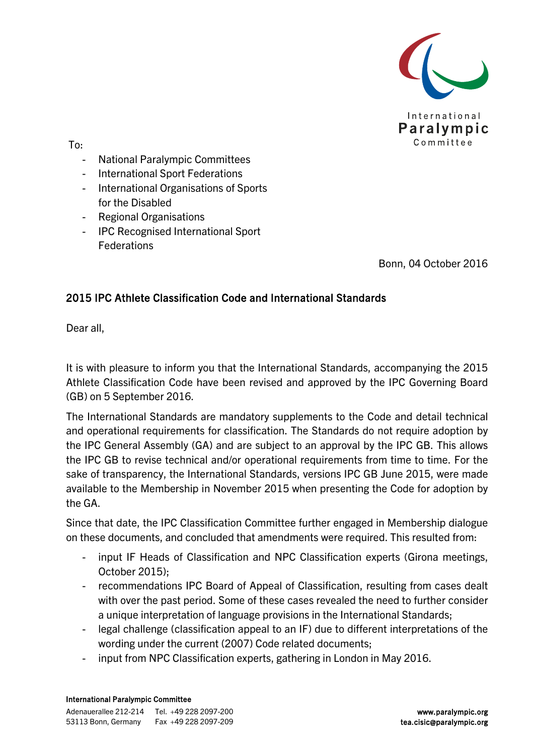

To:

- National Paralympic Committees
- International Sport Federations
- International Organisations of Sports for the Disabled
- Regional Organisations
- IPC Recognised International Sport Federations

Bonn, 04 October 2016

#### 2015 IPC Athlete Classification Code and International Standards

Dear all,

It is with pleasure to inform you that the International Standards, accompanying the 2015 Athlete Classification Code have been revised and approved by the IPC Governing Board (GB) on 5 September 2016.

The International Standards are mandatory supplements to the Code and detail technical and operational requirements for classification. The Standards do not require adoption by the IPC General Assembly (GA) and are subject to an approval by the IPC GB. This allows the IPC GB to revise technical and/or operational requirements from time to time. For the sake of transparency, the International Standards, versions IPC GB June 2015, were made available to the Membership in November 2015 when presenting the Code for adoption by the GA.

Since that date, the IPC Classification Committee further engaged in Membership dialogue on these documents, and concluded that amendments were required. This resulted from:

- input IF Heads of Classification and NPC Classification experts (Girona meetings, October 2015);
- recommendations IPC Board of Appeal of Classification, resulting from cases dealt with over the past period. Some of these cases revealed the need to further consider a unique interpretation of language provisions in the International Standards;
- legal challenge (classification appeal to an IF) due to different interpretations of the wording under the current (2007) Code related documents;
- input from NPC Classification experts, gathering in London in May 2016.

#### International Paralympic Committee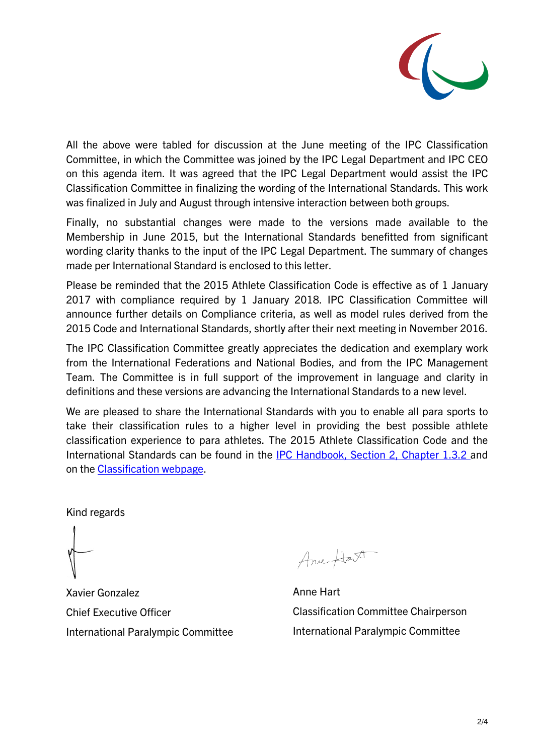

All the above were tabled for discussion at the June meeting of the IPC Classification Committee, in which the Committee was joined by the IPC Legal Department and IPC CEO on this agenda item. It was agreed that the IPC Legal Department would assist the IPC Classification Committee in finalizing the wording of the International Standards. This work was finalized in July and August through intensive interaction between both groups.

Finally, no substantial changes were made to the versions made available to the Membership in June 2015, but the International Standards benefitted from significant wording clarity thanks to the input of the IPC Legal Department. The summary of changes made per International Standard is enclosed to this letter.

Please be reminded that the 2015 Athlete Classification Code is effective as of 1 January 2017 with compliance required by 1 January 2018. IPC Classification Committee will announce further details on Compliance criteria, as well as model rules derived from the 2015 Code and International Standards, shortly after their next meeting in November 2016.

The IPC Classification Committee greatly appreciates the dedication and exemplary work from the International Federations and National Bodies, and from the IPC Management Team. The Committee is in full support of the improvement in language and clarity in definitions and these versions are advancing the International Standards to a new level.

We are pleased to share the International Standards with you to enable all para sports to take their classification rules to a higher level in providing the best possible athlete classification experience to para athletes. The 2015 Athlete Classification Code and the International Standards can be found in the **IPC** Handbook, Section 2, Chapter 1.3.2 and on the [Classification webpage.](https://www.paralympic.org/classification/2015-athlete-classification-code)

Kind regards

Xavier Gonzalez Chief Executive Officer International Paralympic Committee

Anne Hart

Anne Hart Classification Committee Chairperson International Paralympic Committee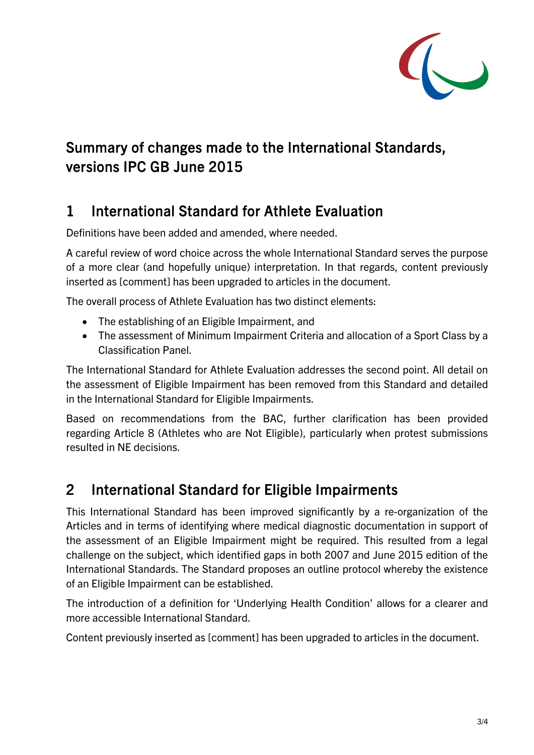

# Summary of changes made to the International Standards, versions IPC GB June 2015

# 1 International Standard for Athlete Evaluation

Definitions have been added and amended, where needed.

A careful review of word choice across the whole International Standard serves the purpose of a more clear (and hopefully unique) interpretation. In that regards, content previously inserted as [comment] has been upgraded to articles in the document.

The overall process of Athlete Evaluation has two distinct elements:

- The establishing of an Eligible Impairment, and
- The assessment of Minimum Impairment Criteria and allocation of a Sport Class by a Classification Panel.

The International Standard for Athlete Evaluation addresses the second point. All detail on the assessment of Eligible Impairment has been removed from this Standard and detailed in the International Standard for Eligible Impairments.

Based on recommendations from the BAC, further clarification has been provided regarding Article 8 (Athletes who are Not Eligible), particularly when protest submissions resulted in NE decisions.

## 2 International Standard for Eligible Impairments

This International Standard has been improved significantly by a re-organization of the Articles and in terms of identifying where medical diagnostic documentation in support of the assessment of an Eligible Impairment might be required. This resulted from a legal challenge on the subject, which identified gaps in both 2007 and June 2015 edition of the International Standards. The Standard proposes an outline protocol whereby the existence of an Eligible Impairment can be established.

The introduction of a definition for 'Underlying Health Condition' allows for a clearer and more accessible International Standard.

Content previously inserted as [comment] has been upgraded to articles in the document.